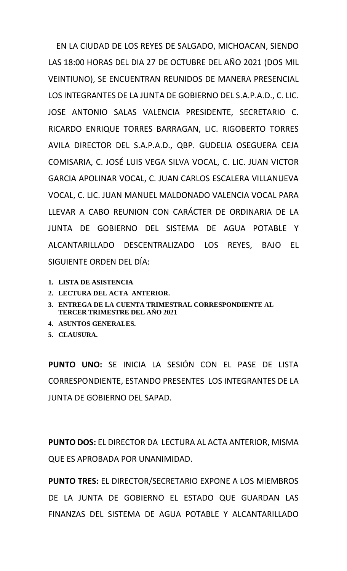EN LA CIUDAD DE LOS REYES DE SALGADO, MICHOACAN, SIENDO LAS 18:00 HORAS DEL DIA 27 DE OCTUBRE DEL AÑO 2021 (DOS MIL VEINTIUNO), SE ENCUENTRAN REUNIDOS DE MANERA PRESENCIAL LOS INTEGRANTES DE LA JUNTA DE GOBIERNO DEL S.A.P.A.D., C. LIC. JOSE ANTONIO SALAS VALENCIA PRESIDENTE, SECRETARIO C. RICARDO ENRIQUE TORRES BARRAGAN, LIC. RIGOBERTO TORRES AVILA DIRECTOR DEL S.A.P.A.D., QBP. GUDELIA OSEGUERA CEJA COMISARIA, C. JOSÉ LUIS VEGA SILVA VOCAL, C. LIC. JUAN VICTOR GARCIA APOLINAR VOCAL, C. JUAN CARLOS ESCALERA VILLANUEVA VOCAL, C. LIC. JUAN MANUEL MALDONADO VALENCIA VOCAL PARA LLEVAR A CABO REUNION CON CARÁCTER DE ORDINARIA DE LA JUNTA DE GOBIERNO DEL SISTEMA DE AGUA POTABLE Y ALCANTARILLADO DESCENTRALIZADO LOS REYES, BAJO EL SIGUIENTE ORDEN DEL DÍA:

- **1. LISTA DE ASISTENCIA**
- **2. LECTURA DEL ACTA ANTERIOR.**
- **3. ENTREGA DE LA CUENTA TRIMESTRAL CORRESPONDIENTE AL TERCER TRIMESTRE DEL AÑO 2021**
- **4. ASUNTOS GENERALES.**
- **5. CLAUSURA.**

**PUNTO UNO:** SE INICIA LA SESIÓN CON EL PASE DE LISTA CORRESPONDIENTE, ESTANDO PRESENTES LOS INTEGRANTES DE LA JUNTA DE GOBIERNO DEL SAPAD.

**PUNTO DOS:** EL DIRECTOR DA LECTURA AL ACTA ANTERIOR, MISMA QUE ES APROBADA POR UNANIMIDAD.

**PUNTO TRES:** EL DIRECTOR/SECRETARIO EXPONE A LOS MIEMBROS DE LA JUNTA DE GOBIERNO EL ESTADO QUE GUARDAN LAS FINANZAS DEL SISTEMA DE AGUA POTABLE Y ALCANTARILLADO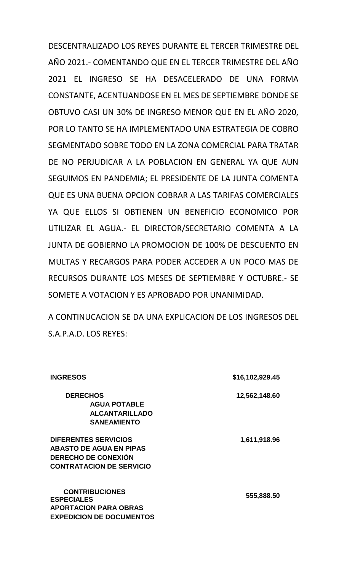DESCENTRALIZADO LOS REYES DURANTE EL TERCER TRIMESTRE DEL AÑO 2021.- COMENTANDO QUE EN EL TERCER TRIMESTRE DEL AÑO 2021 EL INGRESO SE HA DESACELERADO DE UNA FORMA CONSTANTE, ACENTUANDOSE EN EL MES DE SEPTIEMBRE DONDE SE OBTUVO CASI UN 30% DE INGRESO MENOR QUE EN EL AÑO 2020, POR LO TANTO SE HA IMPLEMENTADO UNA ESTRATEGIA DE COBRO SEGMENTADO SOBRE TODO EN LA ZONA COMERCIAL PARA TRATAR DE NO PERJUDICAR A LA POBLACION EN GENERAL YA QUE AUN SEGUIMOS EN PANDEMIA; EL PRESIDENTE DE LA JUNTA COMENTA QUE ES UNA BUENA OPCION COBRAR A LAS TARIFAS COMERCIALES YA QUE ELLOS SI OBTIENEN UN BENEFICIO ECONOMICO POR UTILIZAR EL AGUA.- EL DIRECTOR/SECRETARIO COMENTA A LA JUNTA DE GOBIERNO LA PROMOCION DE 100% DE DESCUENTO EN MULTAS Y RECARGOS PARA PODER ACCEDER A UN POCO MAS DE RECURSOS DURANTE LOS MESES DE SEPTIEMBRE Y OCTUBRE.- SE SOMETE A VOTACION Y ES APROBADO POR UNANIMIDAD.

A CONTINUCACION SE DA UNA EXPLICACION DE LOS INGRESOS DEL S.A.P.A.D. LOS REYES:

| <b>INGRESOS</b>                 | \$16,102,929.45 |
|---------------------------------|-----------------|
| <b>DERECHOS</b>                 | 12,562,148.60   |
| <b>AGUA POTABLE</b>             |                 |
| <b>ALCANTARILLADO</b>           |                 |
| <b>SANEAMIENTO</b>              |                 |
| <b>DIFERENTES SERVICIOS</b>     | 1,611,918.96    |
| <b>ABASTO DE AGUA EN PIPAS</b>  |                 |
| <b>DERECHO DE CONEXIÓN</b>      |                 |
| <b>CONTRATACION DE SERVICIO</b> |                 |
| <b>CONTRIBUCIONES</b>           |                 |
| <b>ESPECIALES</b>               | 555,888.50      |
| <b>APORTACION PARA OBRAS</b>    |                 |
| <b>EXPEDICION DE DOCUMENTOS</b> |                 |
|                                 |                 |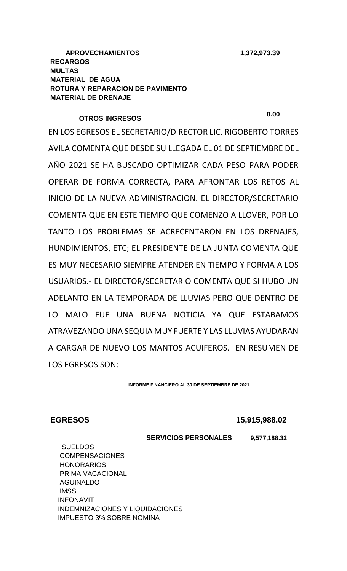# **OTROS INGRESOS 0.00**

EN LOS EGRESOS EL SECRETARIO/DIRECTOR LIC. RIGOBERTO TORRES AVILA COMENTA QUE DESDE SU LLEGADA EL 01 DE SEPTIEMBRE DEL AÑO 2021 SE HA BUSCADO OPTIMIZAR CADA PESO PARA PODER OPERAR DE FORMA CORRECTA, PARA AFRONTAR LOS RETOS AL INICIO DE LA NUEVA ADMINISTRACION. EL DIRECTOR/SECRETARIO COMENTA QUE EN ESTE TIEMPO QUE COMENZO A LLOVER, POR LO TANTO LOS PROBLEMAS SE ACRECENTARON EN LOS DRENAJES, HUNDIMIENTOS, ETC; EL PRESIDENTE DE LA JUNTA COMENTA QUE ES MUY NECESARIO SIEMPRE ATENDER EN TIEMPO Y FORMA A LOS USUARIOS.- EL DIRECTOR/SECRETARIO COMENTA QUE SI HUBO UN ADELANTO EN LA TEMPORADA DE LLUVIAS PERO QUE DENTRO DE LO MALO FUE UNA BUENA NOTICIA YA QUE ESTABAMOS ATRAVEZANDO UNA SEQUIA MUY FUERTE Y LAS LLUVIAS AYUDARAN A CARGAR DE NUEVO LOS MANTOS ACUIFEROS. EN RESUMEN DE LOS EGRESOS SON:

**INFORME FINANCIERO AL 30 DE SEPTIEMBRE DE 2021**

**EGRESOS 15,915,988.02**

 **SERVICIOS PERSONALES 9,577,188.32**

**SUELDOS COMPENSACIONES HONORARIOS**  PRIMA VACACIONAL AGUINALDO **IMSS**  INFONAVIT INDEMNIZACIONES Y LIQUIDACIONES IMPUESTO 3% SOBRE NOMINA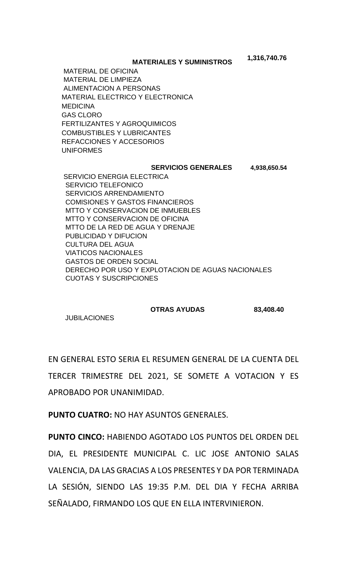**MATERIALES Y SUMINISTROS**

 MATERIAL DE OFICINA MATERIAL DE LIMPIEZA ALIMENTACION A PERSONAS MATERIAL ELECTRICO Y ELECTRONICA **MEDICINA**  GAS CLORO FERTILIZANTES Y AGROQUIMICOS COMBUSTIBLES Y LUBRICANTES REFACCIONES Y ACCESORIOS UNIFORMES

### **SERVICIOS GENERALES 4,938,650.54**

 **1,316,740.76**

 SERVICIO ENERGIA ELECTRICA SERVICIO TELEFONICO SERVICIOS ARRENDAMIENTO COMISIONES Y GASTOS FINANCIEROS MTTO Y CONSERVACION DE INMUEBLES MTTO Y CONSERVACION DE OFICINA MTTO DE LA RED DE AGUA Y DRENAJE PUBLICIDAD Y DIFUCION CULTURA DEL AGUA VIATICOS NACIONALES GASTOS DE ORDEN SOCIAL DERECHO POR USO Y EXPLOTACION DE AGUAS NACIONALES CUOTAS Y SUSCRIPCIONES

### **OTRAS AYUDAS 83,408.40**

**JUBILACIONES** 

EN GENERAL ESTO SERIA EL RESUMEN GENERAL DE LA CUENTA DEL TERCER TRIMESTRE DEL 2021, SE SOMETE A VOTACION Y ES APROBADO POR UNANIMIDAD.

**PUNTO CUATRO:** NO HAY ASUNTOS GENERALES.

**PUNTO CINCO:** HABIENDO AGOTADO LOS PUNTOS DEL ORDEN DEL DIA, EL PRESIDENTE MUNICIPAL C. LIC JOSE ANTONIO SALAS VALENCIA, DA LAS GRACIAS A LOS PRESENTES Y DA POR TERMINADA LA SESIÓN, SIENDO LAS 19:35 P.M. DEL DIA Y FECHA ARRIBA SEÑALADO, FIRMANDO LOS QUE EN ELLA INTERVINIERON.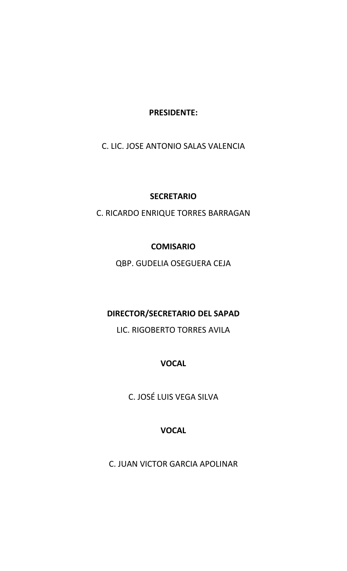**PRESIDENTE:**

C. LIC. JOSE ANTONIO SALAS VALENCIA

## **SECRETARIO**

C. RICARDO ENRIQUE TORRES BARRAGAN

## **COMISARIO**

QBP. GUDELIA OSEGUERA CEJA

# **DIRECTOR/SECRETARIO DEL SAPAD**

LIC. RIGOBERTO TORRES AVILA

# **VOCAL**

C. JOSÉ LUIS VEGA SILVA

# **VOCAL**

C. JUAN VICTOR GARCIA APOLINAR